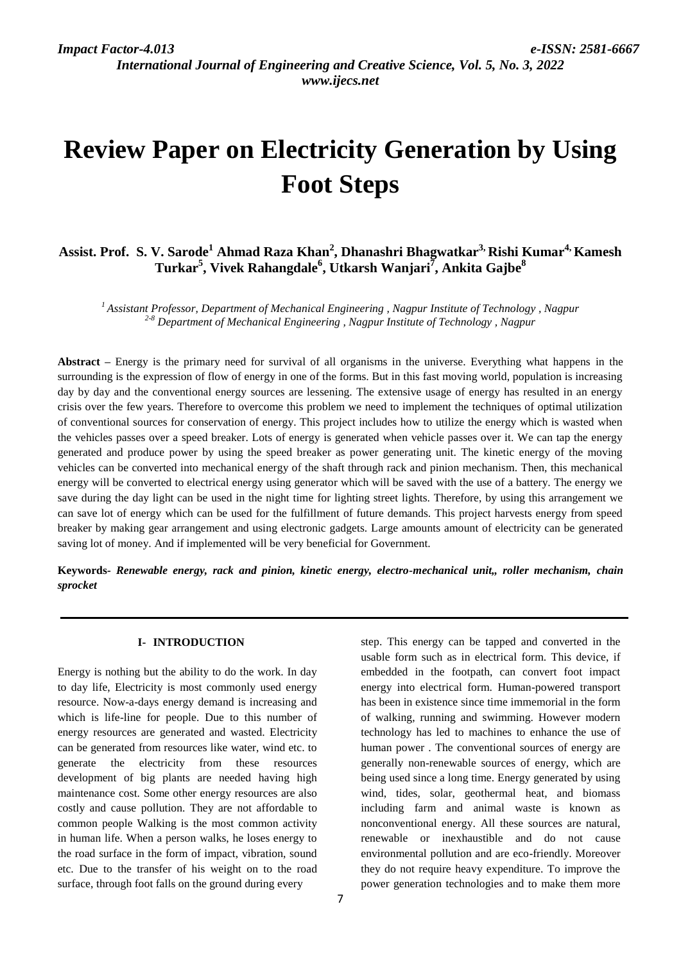*International Journal of Engineering and Creative Science, Vol. 5, No. 3, 2022 www.ijecs.net*

# **Review Paper on Electricity Generation by Using Foot Steps**

## **Assist. Prof. S. V. Sarode<sup>1</sup> Ahmad Raza Khan<sup>2</sup> , Dhanashri Bhagwatkar3, Rishi Kumar4, Kamesh Turkar<sup>5</sup> , Vivek Rahangdale<sup>6</sup> , Utkarsh Wanjari<sup>7</sup> , Ankita Gajbe<sup>8</sup>**

*<sup>1</sup>Assistant Professor, Department of Mechanical Engineering , Nagpur Institute of Technology , Nagpur 2-8 Department of Mechanical Engineering , Nagpur Institute of Technology , Nagpur*

**Abstract** *–* Energy is the primary need for survival of all organisms in the universe. Everything what happens in the surrounding is the expression of flow of energy in one of the forms. But in this fast moving world, population is increasing day by day and the conventional energy sources are lessening. The extensive usage of energy has resulted in an energy crisis over the few years. Therefore to overcome this problem we need to implement the techniques of optimal utilization of conventional sources for conservation of energy. This project includes how to utilize the energy which is wasted when the vehicles passes over a speed breaker. Lots of energy is generated when vehicle passes over it. We can tap the energy generated and produce power by using the speed breaker as power generating unit. The kinetic energy of the moving vehicles can be converted into mechanical energy of the shaft through rack and pinion mechanism. Then, this mechanical energy will be converted to electrical energy using generator which will be saved with the use of a battery. The energy we save during the day light can be used in the night time for lighting street lights. Therefore, by using this arrangement we can save lot of energy which can be used for the fulfillment of future demands. This project harvests energy from speed breaker by making gear arrangement and using electronic gadgets. Large amounts amount of electricity can be generated saving lot of money. And if implemented will be very beneficial for Government.

**Keywords***- Renewable energy, rack and pinion, kinetic energy, electro-mechanical unit,, roller mechanism, chain sprocket*

#### **I- INTRODUCTION**

Energy is nothing but the ability to do the work. In day to day life, Electricity is most commonly used energy resource. Now-a-days energy demand is increasing and which is life-line for people. Due to this number of energy resources are generated and wasted. Electricity can be generated from resources like water, wind etc. to generate the electricity from these resources development of big plants are needed having high maintenance cost. Some other energy resources are also costly and cause pollution. They are not affordable to common people Walking is the most common activity in human life. When a person walks, he loses energy to the road surface in the form of impact, vibration, sound etc. Due to the transfer of his weight on to the road surface, through foot falls on the ground during every

step. This energy can be tapped and converted in the usable form such as in electrical form. This device, if embedded in the footpath, can convert foot impact energy into electrical form. Human-powered transport has been in existence since time immemorial in the form of walking, running and swimming. However modern technology has led to machines to enhance the use of human power . The conventional sources of energy are generally non-renewable sources of energy, which are being used since a long time. Energy generated by using wind, tides, solar, geothermal heat, and biomass including farm and animal waste is known as nonconventional energy. All these sources are natural, renewable or inexhaustible and do not cause environmental pollution and are eco-friendly. Moreover they do not require heavy expenditure. To improve the power generation technologies and to make them more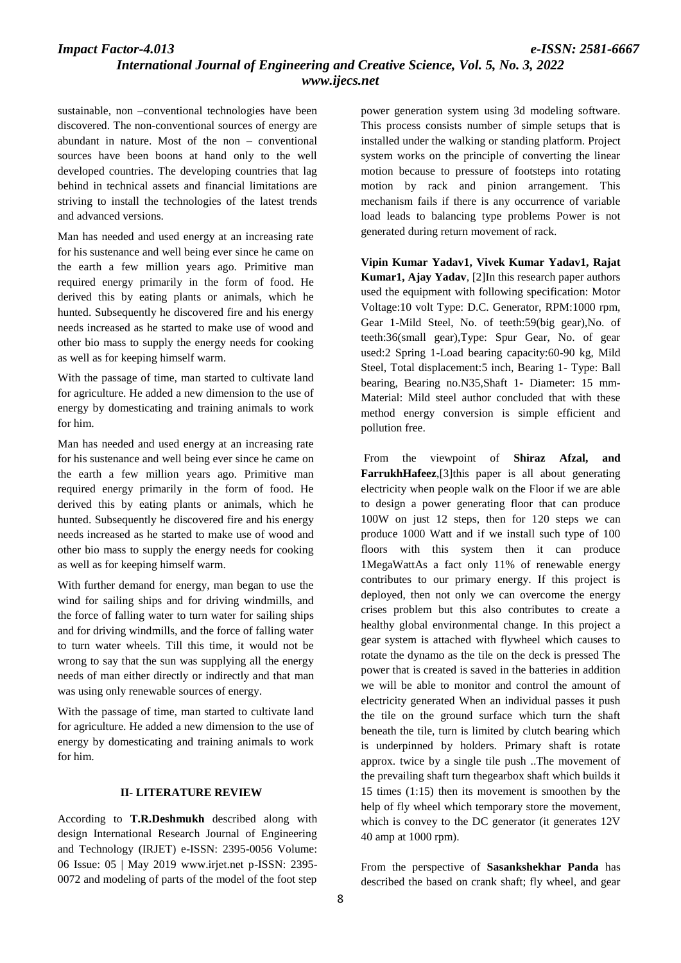## *Impact Factor-4.013 e-ISSN: 2581-6667 International Journal of Engineering and Creative Science, Vol. 5, No. 3, 2022 www.ijecs.net*

sustainable, non –conventional technologies have been discovered. The non-conventional sources of energy are abundant in nature. Most of the non – conventional sources have been boons at hand only to the well developed countries. The developing countries that lag behind in technical assets and financial limitations are striving to install the technologies of the latest trends and advanced versions.

Man has needed and used energy at an increasing rate for his sustenance and well being ever since he came on the earth a few million years ago. Primitive man required energy primarily in the form of food. He derived this by eating plants or animals, which he hunted. Subsequently he discovered fire and his energy needs increased as he started to make use of wood and other bio mass to supply the energy needs for cooking as well as for keeping himself warm.

With the passage of time, man started to cultivate land for agriculture. He added a new dimension to the use of energy by domesticating and training animals to work for him.

Man has needed and used energy at an increasing rate for his sustenance and well being ever since he came on the earth a few million years ago. Primitive man required energy primarily in the form of food. He derived this by eating plants or animals, which he hunted. Subsequently he discovered fire and his energy needs increased as he started to make use of wood and other bio mass to supply the energy needs for cooking as well as for keeping himself warm.

With further demand for energy, man began to use the wind for sailing ships and for driving windmills, and the force of falling water to turn water for sailing ships and for driving windmills, and the force of falling water to turn water wheels. Till this time, it would not be wrong to say that the sun was supplying all the energy needs of man either directly or indirectly and that man was using only renewable sources of energy.

With the passage of time, man started to cultivate land for agriculture. He added a new dimension to the use of energy by domesticating and training animals to work for him.

#### **II- LITERATURE REVIEW**

According to **T.R.Deshmukh** described along with design International Research Journal of Engineering and Technology (IRJET) e-ISSN: 2395-0056 Volume: 06 Issue: 05 | May 2019 www.irjet.net p-ISSN: 2395- 0072 and modeling of parts of the model of the foot step

power generation system using 3d modeling software. This process consists number of simple setups that is installed under the walking or standing platform. Project system works on the principle of converting the linear motion because to pressure of footsteps into rotating motion by rack and pinion arrangement. This mechanism fails if there is any occurrence of variable load leads to balancing type problems Power is not generated during return movement of rack.

**Vipin Kumar Yadav1, Vivek Kumar Yadav1, Rajat Kumar1, Ajay Yadav**, [2]In this research paper authors used the equipment with following specification: Motor Voltage:10 volt Type: D.C. Generator, RPM:1000 rpm, Gear 1-Mild Steel, No. of teeth:59(big gear),No. of teeth:36(small gear),Type: Spur Gear, No. of gear used:2 Spring 1-Load bearing capacity:60-90 kg, Mild Steel, Total displacement:5 inch, Bearing 1- Type: Ball bearing, Bearing no.N35,Shaft 1- Diameter: 15 mm-Material: Mild steel author concluded that with these method energy conversion is simple efficient and pollution free.

From the viewpoint of **Shiraz Afzal, and FarrukhHafeez**,[3]this paper is all about generating electricity when people walk on the Floor if we are able to design a power generating floor that can produce 100W on just 12 steps, then for 120 steps we can produce 1000 Watt and if we install such type of 100 floors with this system then it can produce 1MegaWattAs a fact only 11% of renewable energy contributes to our primary energy. If this project is deployed, then not only we can overcome the energy crises problem but this also contributes to create a healthy global environmental change. In this project a gear system is attached with flywheel which causes to rotate the dynamo as the tile on the deck is pressed The power that is created is saved in the batteries in addition we will be able to monitor and control the amount of electricity generated When an individual passes it push the tile on the ground surface which turn the shaft beneath the tile, turn is limited by clutch bearing which is underpinned by holders. Primary shaft is rotate approx. twice by a single tile push ..The movement of the prevailing shaft turn thegearbox shaft which builds it 15 times (1:15) then its movement is smoothen by the help of fly wheel which temporary store the movement, which is convey to the DC generator (it generates 12V 40 amp at 1000 rpm).

From the perspective of **Sasankshekhar Panda** has described the based on crank shaft; fly wheel, and gear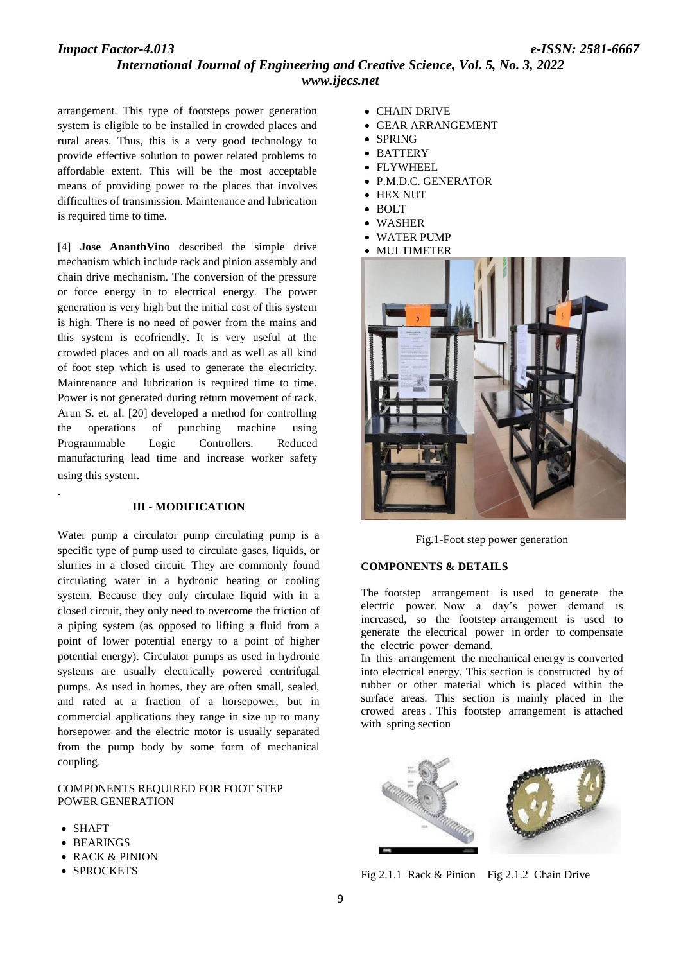## *Impact Factor-4.013 e-ISSN: 2581-6667 International Journal of Engineering and Creative Science, Vol. 5, No. 3, 2022 www.ijecs.net*

arrangement. This type of footsteps power generation system is eligible to be installed in crowded places and rural areas. Thus, this is a very good technology to provide effective solution to power related problems to affordable extent. This will be the most acceptable means of providing power to the places that involves difficulties of transmission. Maintenance and lubrication is required time to time.

[4] **Jose AnanthVino** described the simple drive mechanism which include rack and pinion assembly and chain drive mechanism. The conversion of the pressure or force energy in to electrical energy. The power generation is very high but the initial cost of this system is high. There is no need of power from the mains and this system is ecofriendly. It is very useful at the crowded places and on all roads and as well as all kind of foot step which is used to generate the electricity. Maintenance and lubrication is required time to time. Power is not generated during return movement of rack. Arun S. et. al. [20] developed a method for controlling the operations of punching machine using Programmable Logic Controllers. Reduced manufacturing lead time and increase worker safety using this system.

#### **III - MODIFICATION**

Water pump a circulator pump circulating pump is a specific type of pump used to circulate gases, liquids, or slurries in a closed circuit. They are commonly found circulating water in a hydronic heating or cooling system. Because they only circulate liquid with in a closed circuit, they only need to overcome the friction of a piping system (as opposed to lifting a fluid from a point of lower potential energy to a point of higher potential energy). Circulator pumps as used in hydronic systems are usually electrically powered centrifugal pumps. As used in homes, they are often small, sealed, and rated at a fraction of a horsepower, but in commercial applications they range in size up to many horsepower and the electric motor is usually separated from the pump body by some form of mechanical coupling.

#### COMPONENTS REQUIRED FOR FOOT STEP POWER GENERATION

SHAFT

.

- BEARINGS
- RACK & PINION
- SPROCKETS
- CHAIN DRIVE
- GEAR ARRANGEMENT
- SPRING
- BATTERY
- FLYWHEEL
- P.M.D.C. GENERATOR
- HEX NUT
- $\bullet$  BOLT
- WASHER
- WATER PUMP
- MULTIMETER



Fig.1-Foot step power generation

#### **COMPONENTS & DETAILS**

The footstep arrangement is used to generate the electric power. Now a day's power demand is increased, so the footstep arrangement is used to generate the electrical power in order to compensate the electric power demand.

In this arrangement the mechanical energy is converted into electrical energy. This section is constructed by of rubber or other material which is placed within the surface areas. This section is mainly placed in the crowed areas . This footstep arrangement is attached with spring section



Fig 2.1.1 Rack & Pinion Fig 2.1.2 Chain Drive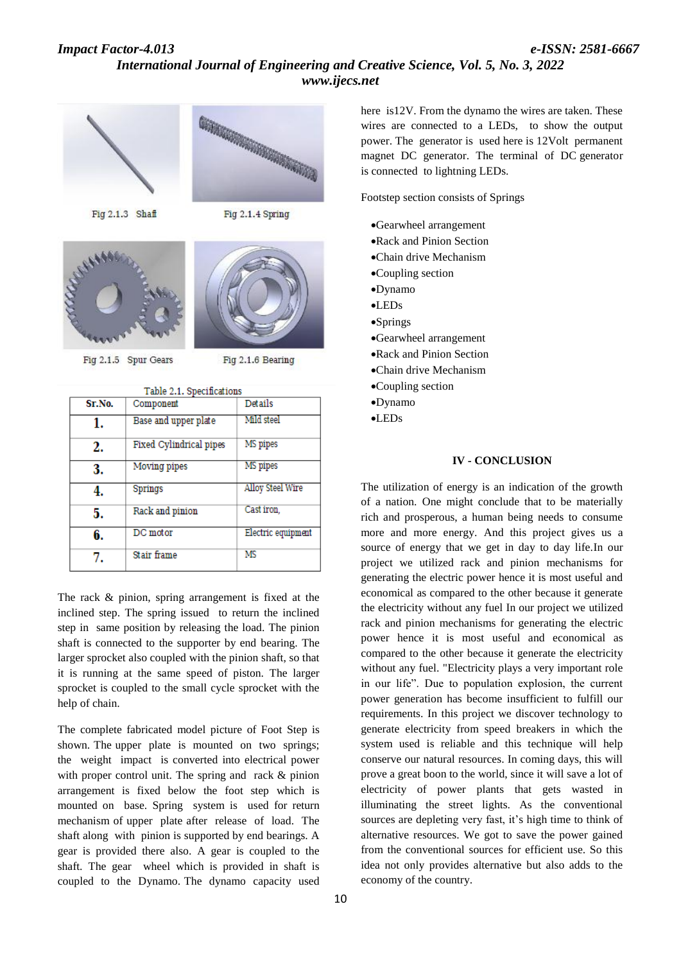## *Impact Factor-4.013 e-ISSN: 2581-6667 International Journal of Engineering and Creative Science, Vol. 5, No. 3, 2022 www.ijecs.net*



The rack & pinion, spring arrangement is fixed at the inclined step. The spring issued to return the inclined step in same position by releasing the load. The pinion shaft is connected to the supporter by end bearing. The larger sprocket also coupled with the pinion shaft, so that it is running at the same speed of piston. The larger sprocket is coupled to the small cycle sprocket with the help of chain.

The complete fabricated model picture of Foot Step is shown. The upper plate is mounted on two springs; the weight impact is converted into electrical power with proper control unit. The spring and rack & pinion arrangement is fixed below the foot step which is mounted on base. Spring system is used for return mechanism of upper plate after release of load. The shaft along with pinion is supported by end bearings. A gear is provided there also. A gear is coupled to the shaft. The gear wheel which is provided in shaft is coupled to the Dynamo. The dynamo capacity used

here is12V. From the dynamo the wires are taken. These wires are connected to a LEDs, to show the output power. The generator is used here is 12Volt permanent magnet DC generator. The terminal of DC generator is connected to lightning LEDs.

Footstep section consists of Springs

- Gearwheel arrangement
- Rack and Pinion Section
- Chain drive Mechanism
- Coupling section
- Dynamo
- LEDs
- Springs
- Gearwheel arrangement
- Rack and Pinion Section
- Chain drive Mechanism
- Coupling section
- Dynamo
- LEDs

#### **IV - CONCLUSION**

The utilization of energy is an indication of the growth of a nation. One might conclude that to be materially rich and prosperous, a human being needs to consume more and more energy. And this project gives us a source of energy that we get in day to day life.In our project we utilized rack and pinion mechanisms for generating the electric power hence it is most useful and economical as compared to the other because it generate the electricity without any fuel In our project we utilized rack and pinion mechanisms for generating the electric power hence it is most useful and economical as compared to the other because it generate the electricity without any fuel. "Electricity plays a very important role in our life". Due to population explosion, the current power generation has become insufficient to fulfill our requirements. In this project we discover technology to generate electricity from speed breakers in which the system used is reliable and this technique will help conserve our natural resources. In coming days, this will prove a great boon to the world, since it will save a lot of electricity of power plants that gets wasted in illuminating the street lights. As the conventional sources are depleting very fast, it's high time to think of alternative resources. We got to save the power gained from the conventional sources for efficient use. So this idea not only provides alternative but also adds to the economy of the country.